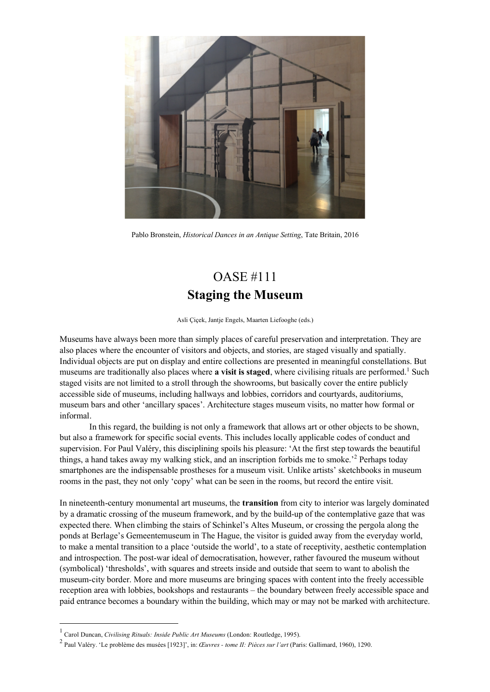

Pablo Bronstein, *Historical Dances in an Antique Setting*, Tate Britain, 2016

## OASE #111 **Staging the Museum**

Asli Çiçek, Jantje Engels, Maarten Liefooghe (eds.)

Museums have always been more than simply places of careful preservation and interpretation. They are also places where the encounter of visitors and objects, and stories, are staged visually and spatially. Individual objects are put on display and entire collections are presented in meaningful constellations. But museums are traditionally also places where **a** visit is staged, where civilising rituals are performed.<sup>1</sup> Such staged visits are not limited to a stroll through the showrooms, but basically cover the entire publicly accessible side of museums, including hallways and lobbies, corridors and courtyards, auditoriums, museum bars and other 'ancillary spaces'. Architecture stages museum visits, no matter how formal or informal.

In this regard, the building is not only a framework that allows art or other objects to be shown, but also a framework for specific social events. This includes locally applicable codes of conduct and supervision. For Paul Valéry, this disciplining spoils his pleasure: 'At the first step towards the beautiful things, a hand takes away my walking stick, and an inscription forbids me to smoke.' <sup>2</sup> Perhaps today smartphones are the indispensable prostheses for a museum visit. Unlike artists' sketchbooks in museum rooms in the past, they not only 'copy' what can be seen in the rooms, but record the entire visit.

In nineteenth-century monumental art museums, the **transition** from city to interior was largely dominated by a dramatic crossing of the museum framework, and by the build-up of the contemplative gaze that was expected there. When climbing the stairs of Schinkel's Altes Museum, or crossing the pergola along the ponds at Berlage's Gemeentemuseum in The Hague, the visitor is guided away from the everyday world, to make a mental transition to a place 'outside the world', to a state of receptivity, aesthetic contemplation and introspection. The post-war ideal of democratisation, however, rather favoured the museum without (symbolical) 'thresholds', with squares and streets inside and outside that seem to want to abolish the museum-city border. More and more museums are bringing spaces with content into the freely accessible reception area with lobbies, bookshops and restaurants – the boundary between freely accessible space and paid entrance becomes a boundary within the building, which may or may not be marked with architecture.

<sup>1</sup> Carol Duncan, *Civilising Rituals: Inside Public Art Museums* (London: Routledge, 1995).

<sup>2</sup> Paul Valéry. 'Le problème des musées [1923]', in: *Œuvres - tome II: Pièces sur l'art* (Paris: Gallimard, 1960), 1290.